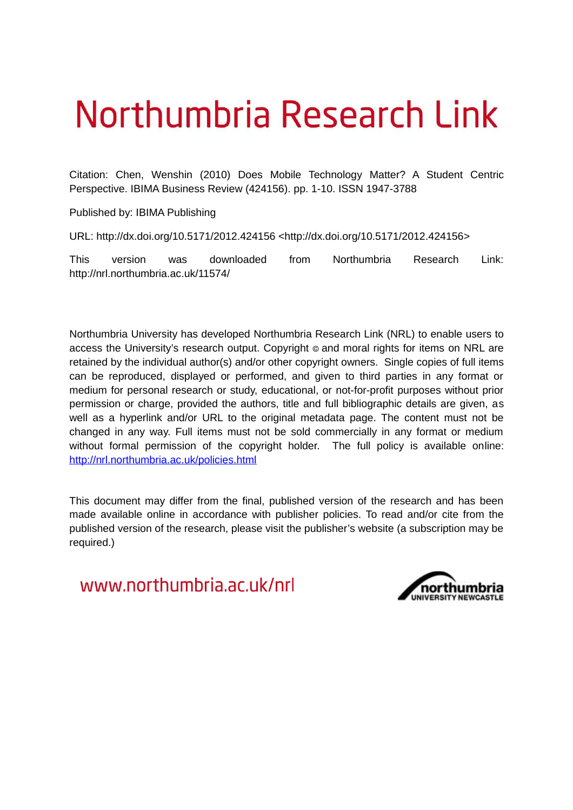# Northumbria Research Link

Citation: Chen, Wenshin (2010) Does Mobile Technology Matter? A Student Centric Perspective. IBIMA Business Review (424156). pp. 1-10. ISSN 1947-3788

Published by: IBIMA Publishing

URL: http://dx.doi.org/10.5171/2012.424156 <http://dx.doi.org/10.5171/2012.424156>

This version was downloaded from Northumbria Research Link: http://nrl.northumbria.ac.uk/11574/

Northumbria University has developed Northumbria Research Link (NRL) to enable users to access the University's research output. Copyright © and moral rights for items on NRL are retained by the individual author(s) and/or other copyright owners. Single copies of full items can be reproduced, displayed or performed, and given to third parties in any format or medium for personal research or study, educational, or not-for-profit purposes without prior permission or charge, provided the authors, title and full bibliographic details are given, as well as a hyperlink and/or URL to the original metadata page. The content must not be changed in any way. Full items must not be sold commercially in any format or medium without formal permission of the copyright holder. The full policy is available online: <http://nrl.northumbria.ac.uk/policies.html>

This document may differ from the final, published version of the research and has been made available online in accordance with publisher policies. To read and/or cite from the published version of the research, please visit the publisher's website (a subscription may be required.)

www.northumbria.ac.uk/nrl

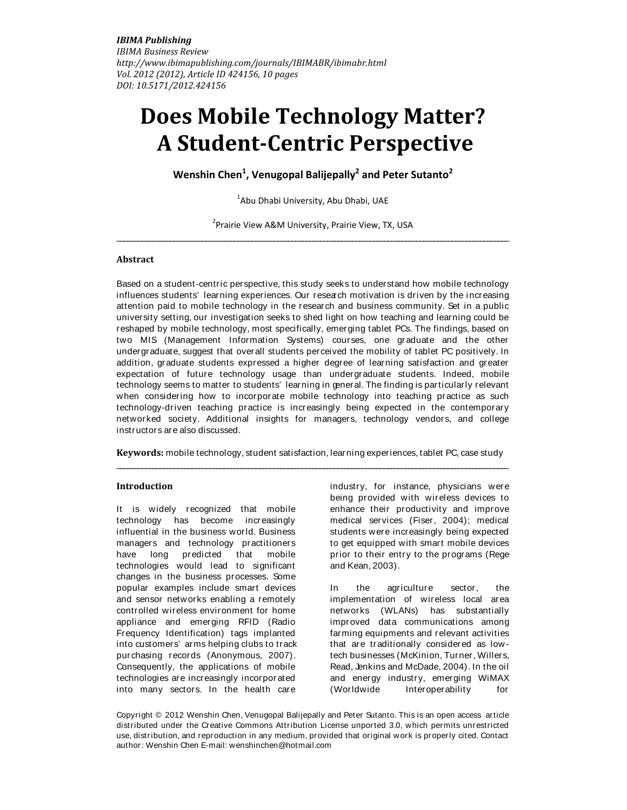# **Does Mobile Technology Matter? A Student-Centric Perspective**

**Wenshin Chen<sup>1</sup> , Venugopal Balijepally<sup>2</sup> and Peter Sutanto<sup>2</sup>**

<sup>1</sup>Abu Dhabi University, Abu Dhabi, UAE

<sup>2</sup> Prairie View A&M University, Prairie View, TX, USA \_\_\_\_\_\_\_\_\_\_\_\_\_\_\_\_\_\_\_\_\_\_\_\_\_\_\_\_\_\_\_\_\_\_\_\_\_\_\_\_\_\_\_\_\_\_\_\_\_\_\_\_\_\_\_\_\_\_\_\_\_\_\_\_\_\_\_\_\_\_\_\_\_\_\_\_\_\_\_\_\_\_\_\_\_\_\_\_\_\_\_\_\_\_\_\_\_\_\_\_\_\_\_\_\_\_\_\_\_\_

#### **Abstract**

Based on a student-centric perspective, this study seeks to understand how mobile technology influences students' learning experiences. Our research motivation is driven by the increasing attention paid to mobile technology in the research and business community. Set in a public university setting, our investigation seeks to shed light on how teaching and learning could be reshaped by mobile technology, most specifically, emerging tablet PCs. The findings, based on two MIS (Management Information Systems) courses, one graduate and the other undergraduate, suggest that overall students perceived the mobility of tablet PC positively. In addition, graduate students expressed a higher degree of learning satisfaction and greater expectation of future technology usage than undergraduate students. Indeed, mobile technology seems to matter to students' learning in general. The finding is particularly relevant when considering how to incorporate mobile technology into teaching practice as such technology-driven teaching practice is increasingly being expected in the contemporary networked society. Additional insights for managers, technology vendors, and college instructors are also discussed.

**Keywords:** mobile technology, student satisfaction, learning experiences, tablet PC, case study \_\_\_\_\_\_\_\_\_\_\_\_\_\_\_\_\_\_\_\_\_\_\_\_\_\_\_\_\_\_\_\_\_\_\_\_\_\_\_\_\_\_\_\_\_\_\_\_\_\_\_\_\_\_\_\_\_\_\_\_\_\_\_\_\_\_\_\_\_\_\_\_\_\_\_\_\_\_\_\_\_\_\_\_\_\_\_\_\_\_\_\_\_\_\_\_\_\_\_\_\_\_\_\_\_\_\_\_\_\_

#### **Introduction**

It is widely recognized that mobile technology has become increasingly influential in the business world. Business managers and technology practitioners have long predicted that mobile technologies would lead to significant changes in the business processes. Some popular examples include smart devices and sensor networks enabling a remotely controlled wireless environment for home appliance and emerging RFID (Radio Frequency Identification) tags implanted into customers' arms helping clubs to track purchasing records (Anonymous, 2007). Consequently, the applications of mobile technologies are increasingly incorporated into many sectors. In the health care

industry, for instance, physicians were being provided with wireless devices to enhance their productivity and improve medical services (Fiser, 2004); medical students were increasingly being expected to get equipped with smart mobile devices prior to their entry to the programs (Rege and Kean, 2003).

In the agriculture sector, the implementation of wireless local area networks (WLANs) has substantially improved data communications among farming equipments and relevant activities that are traditionally considered as lowtech businesses (McKinion, Turner, Willers, Read, Jenkins and McDade, 2004). In the oil and energy industry, emerging WiMAX (Worldwide Interoperability for

Copyright © 2012 Wenshin Chen, Venugopal Balijepally and Peter Sutanto. This is an open access article distributed under the Creative Commons Attribution License unported 3.0, which permits unrestricted use, distribution, and reproduction in any medium, provided that original work is properly cited. Contact author: Wenshin Chen E-mail: [wenshinchen@hotmail.com](mailto:wenshinchen@hotmail.com)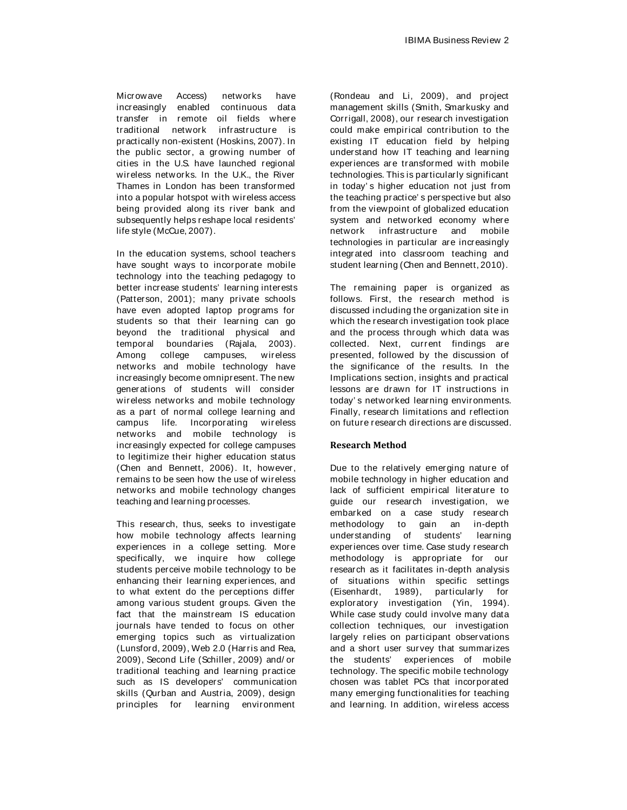Microwave Access) networks have increasingly enabled continuous data transfer in remote oil fields where traditional network infrastructure is practically non-existent (Hoskins, 2007). In the public sector, a growing number of cities in the U.S. have launched regional wireless networks. In the U.K., the River Thames in London has been transformed into a popular hotspot with wireless access being provided along its river bank and subsequently helps reshape local residents' life style (McCue, 2007).

In the education systems, school teachers have sought ways to incorporate mobile technology into the teaching pedagogy to better increase students' learning interests (Patterson, 2001); many private schools have even adopted laptop programs for students so that their learning can go beyond the traditional physical and temporal boundaries (Rajala, 2003). Among college campuses, wireless networks and mobile technology have increasingly become omnipresent. The new generations of students will consider wireless networks and mobile technology as a part of normal college learning and campus life. Incorporating wireless networks and mobile technology is increasingly expected for college campuses to legitimize their higher education status (Chen and Bennett, 2006). It, however, remains to be seen how the use of wireless networks and mobile technology changes teaching and learning processes.

This research, thus, seeks to investigate how mobile technology affects learning experiences in a college setting. More specifically, we inquire how college students perceive mobile technology to be enhancing their learning experiences, and to what extent do the perceptions differ among various student groups. Given the fact that the mainstream IS education journals have tended to focus on other emerging topics such as virtualization (Lunsford, 2009), Web 2.0 (Harris and Rea, 2009), Second Life (Schiller, 2009) and/ or traditional teaching and learning practice such as IS developers' communication skills (Qurban and Austria, 2009), design principles for learning environment

(Rondeau and Li, 2009), and project management skills (Smith, Smarkusky and Corrigall, 2008), our research investigation could make empirical contribution to the existing IT education field by helping understand how IT teaching and learning experiences are transformed with mobile technologies. This is particularly significant in today' s higher education not just from the teaching practice' s perspective but also from the viewpoint of globalized education system and networked economy where network infrastructure and mobile technologies in particular are increasingly integrated into classroom teaching and student learning (Chen and Bennett, 2010).

The remaining paper is organized as follows. First, the research method is discussed including the organization site in which the research investigation took place and the process through which data was collected. Next, current findings are presented, followed by the discussion of the significance of the results. In the Implications section, insights and practical lessons are drawn for IT instructions in today' s networked learning environments. Finally, research limitations and reflection on future research directions are discussed.

## **Research Method**

Due to the relatively emerging nature of mobile technology in higher education and lack of sufficient empirical literature to guide our research investigation, we embarked on a case study research methodology to gain an in-depth understanding of students' learning experiences over time. Case study research methodology is appropriate for our research as it facilitates in-depth analysis of situations within specific settings (Eisenhardt, 1989), particularly for exploratory investigation (Yin, 1994). While case study could involve many data collection techniques, our investigation largely relies on participant observations and a short user survey that summarizes the students' experiences of mobile technology. The specific mobile technology chosen was tablet PCs that incorporated many emerging functionalities for teaching and learning. In addition, wireless access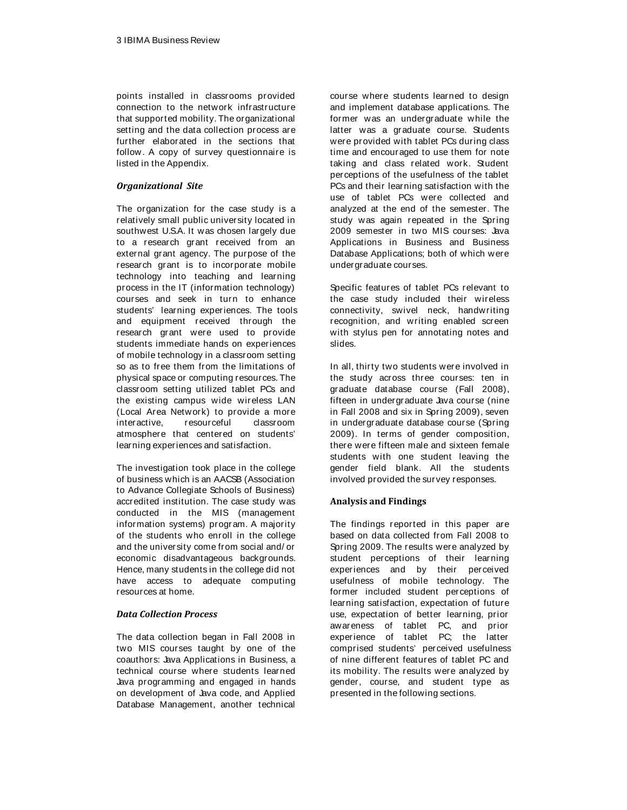points installed in classrooms provided connection to the network infrastructure that supported mobility. The organizational setting and the data collection process are further elaborated in the sections that follow. A copy of survey questionnaire is listed in the Appendix.

# *Organizational Site*

The organization for the case study is a relatively small public university located in southwest U.S.A. It was chosen largely due to a research grant received from an external grant agency. The purpose of the research grant is to incorporate mobile technology into teaching and learning process in the IT (information technology) courses and seek in turn to enhance students' learning experiences. The tools and equipment received through the research grant were used to provide students immediate hands on experiences of mobile technology in a classroom setting so as to free them from the limitations of physical space or computing resources. The classroom setting utilized tablet PCs and the existing campus wide wireless LAN (Local Area Network) to provide a more interactive, resourceful classroom atmosphere that centered on students' learning experiences and satisfaction.

The investigation took place in the college of business which is an AACSB (Association to Advance Collegiate Schools of Business) accredited institution. The case study was conducted in the MIS (management information systems) progr am. A majority of the students who enroll in the college and the university come from social and/ or economic disadvantageous backgrounds. Hence, many students in the college did not have access to adequate computing resources at home.

# *Data Collection Process*

The data collection began in Fall 2008 in two MIS courses taught by one of the coauthors: Java Applications in Business, a technical course where students learned Java programming and engaged in hands on development of Java code, and Applied Database Management, another technical

course where students learned to design and implement database applications. The former was an undergraduate while the latter was a graduate course. Students were provided with tablet PCs during class time and encouraged to use them for note taking and class related work. Student perceptions of the usefulness of the tablet PCs and their learning satisfaction with the use of tablet PCs were collected and analyzed at the end of the semester. The study was again repeated in the Spring 2009 semester in two MIS courses: Java Applications in Business and Business Database Applications; both of which were undergraduate courses.

Specific features of tablet PCs relevant to the case study included their wireless connectivity, swivel neck, handwriting recognition, and writing enabled screen with stylus pen for annotating notes and slides.

In all, thirty two students were involved in the study across three courses: ten in graduate database course (Fall 2008), fifteen in undergraduate Java course (nine in Fall 2008 and six in Spring 2009), seven in undergraduate database course (Spring 2009). In terms of gender composition, there were fifteen male and sixteen female students with one student leaving the gender field blank. All the students involved provided the survey responses.

# **Analysis and Findings**

The findings reported in this paper are based on data collected from Fall 2008 to Spring 2009. The results were analyzed by student perceptions of their learning experiences and by their perceived usefulness of mobile technology. The former included student perceptions of learning satisfaction, expectation of future use, expectation of better learning, prior awareness of tablet PC, and prior experience of tablet PC; the latter comprised students' perceived usefulness of nine different features of tablet PC and its mobility. The results were analyzed by gender, course, and student type as presented in the following sections.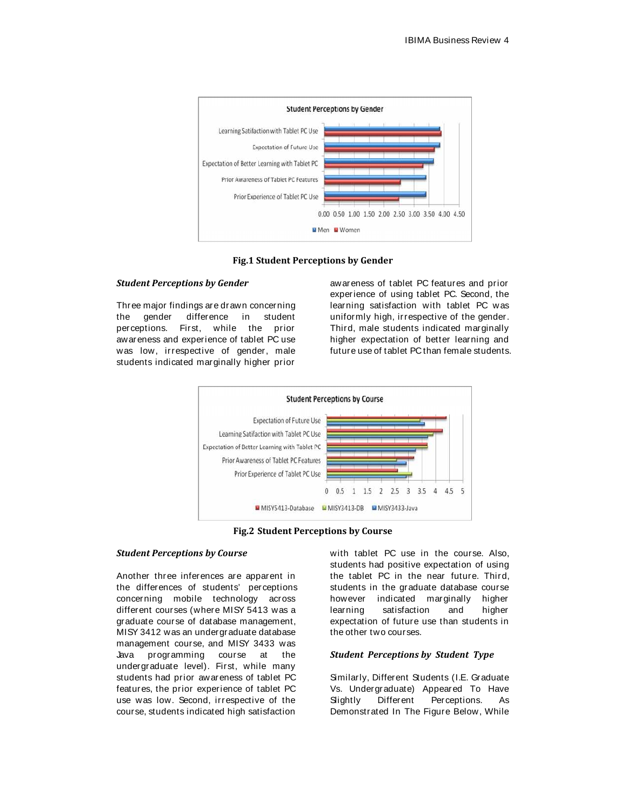

**Fig.1 Student Perceptions by Gender**

#### *Student Perceptions by Gender*

Three major findings are drawn concerning the gender difference in student perceptions. First, while the prior awareness and experience of tablet PC use was low, irrespective of gender, male students indicated marginally higher prior

awareness of tablet PC features and prior experience of using tablet PC. Second, the learning satisfaction with tablet PC was uniformly high, irrespective of the gender. Third, male students indicated marginally higher expectation of better learning and future use of tablet PC than female students.



**Fig.2 Student Perceptions by Course**

#### *Student Perceptions by Course*

Another three inferences are apparent in the differences of students' perceptions concerning mobile technology across different courses (where MISY 5413 was a graduate course of database management, MISY 3412 was an undergraduate database management course, and MISY 3433 was Java programming course at the undergraduate level). First, while many students had prior awareness of tablet PC features, the prior experience of tablet PC use was low. Second, irrespective of the course, students indicated high satisfaction

with tablet PC use in the course. Also, students had positive expectation of using the tablet PC in the near future. Third, students in the graduate database course however indicated marginally higher learning satisfaction and higher expectation of future use than students in the other two courses.

#### *Student Perceptions by Student Type*

Similarly, Different Students (I.E. Graduate Vs. Undergraduate) Appeared To Have Slightly Different Perceptions. As Demonstrated In The Figure Below, While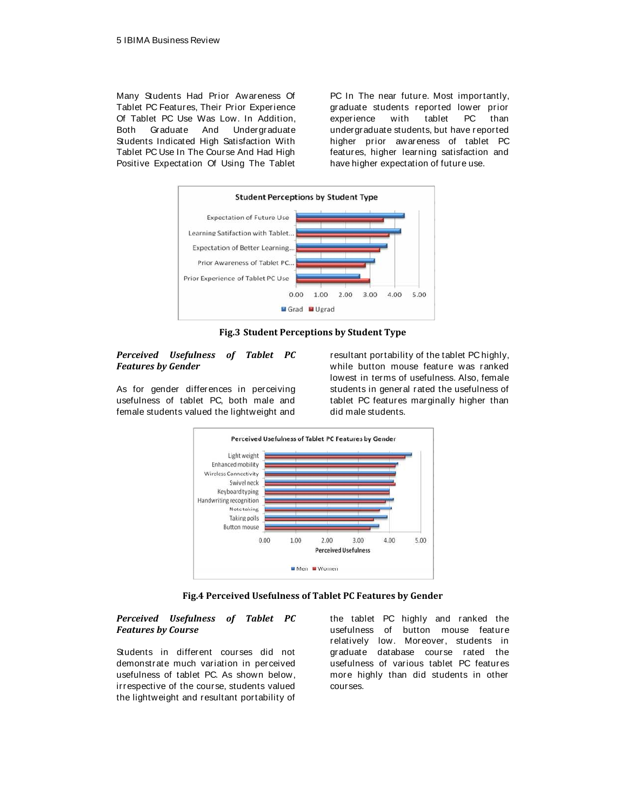Many Students Had Prior Awareness Of Tablet PC Features, Their Prior Experience Of Tablet PC Use Was Low. In Addition, Both Graduate And Undergraduate Students Indicated High Satisfaction With Tablet PC Use In The Course And Had High Positive Expectation Of Using The Tablet

PC In The near future. Most importantly, graduate students reported lower prior experience with tablet PC than undergraduate students, but have reported higher prior awareness of tablet PC features, higher learning satisfaction and have higher expectation of future use.



**Fig.3 Student Perceptions by Student Type**

#### *Perceived Usefulness of Tablet PC Features by Gender*

As for gender differences in perceiving usefulness of tablet PC, both male and female students valued the lightweight and resultant portability of the tablet PC highly, while button mouse feature was ranked lowest in terms of usefulness. Also, female students in general rated the usefulness of tablet PC features marginally higher than did male students.



**Fig.4 Perceived Usefulness of Tablet PC Features by Gender**

#### *Perceived Usefulness of Tablet PC Features by Course*

Students in different courses did not demonstrate much variation in perceived usefulness of tablet PC. As shown below, irrespective of the course, students valued the lightweight and resultant portability of

the tablet PC highly and ranked the usefulness of button mouse feature relatively low. Moreover, students in graduate database course rated the usefulness of various tablet PC features more highly than did students in other courses.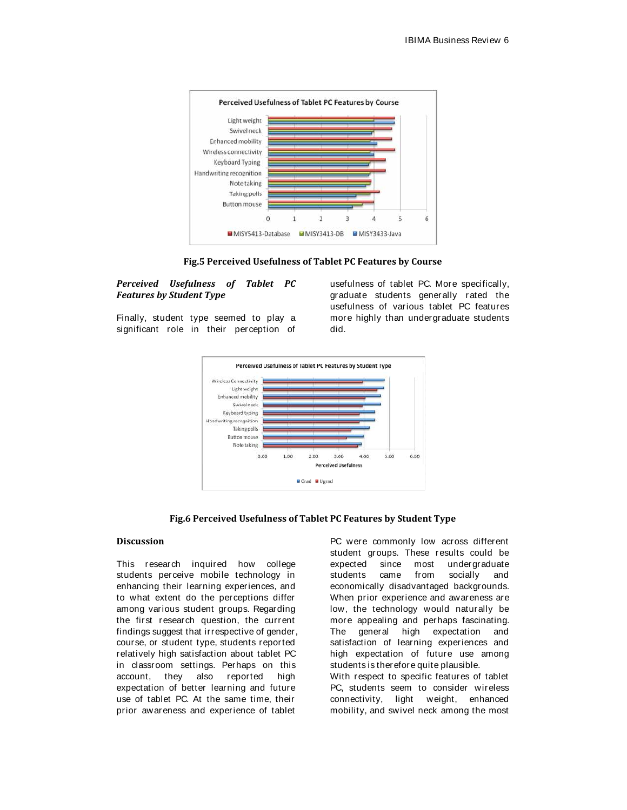

**Fig.5 Perceived Usefulness of Tablet PC Features by Course**

# *Perceived Usefulness of Tablet PC Features by Student Type*

Finally, student type seemed to play a significant role in their perception of usefulness of tablet PC. More specifically, graduate students generally rated the usefulness of various tablet PC features more highly than undergraduate students did.



#### **Fig.6 Perceived Usefulness of Tablet PC Features by Student Type**

# **Discussion**

This research inquired how college students perceive mobile technology in enhancing their learning experiences, and to what extent do the perceptions differ among various student groups. Regarding the first research question, the current findings suggest that irrespective of gender, course, or student type, students reported relatively high satisfaction about tablet PC in classroom settings. Perhaps on this account, they also reported high expectation of better learning and future use of tablet PC. At the same time, their prior awareness and experience of tablet

PC were commonly low across different student groups. These results could be expected since most undergraduate students came from socially and economically disadvantaged backgrounds. When prior experience and awareness are low, the technology would naturally be more appealing and perhaps fascinating. The general high expectation and satisfaction of learning experiences and high expectation of future use among students is therefore quite plausible. With respect to specific features of tablet PC, students seem to consider wireless connectivity, light weight, enhanced

mobility, and swivel neck among the most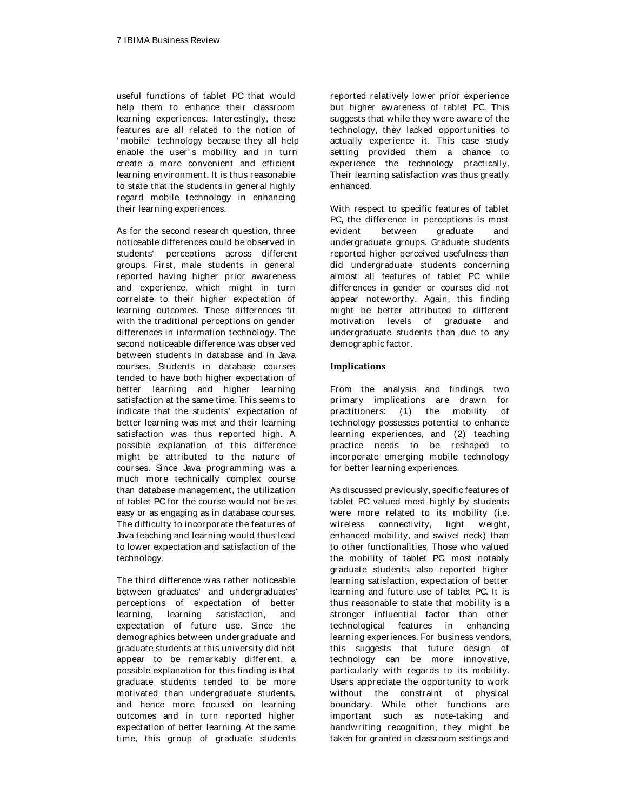useful functions of tablet PC that would help them to enhance their classroom learning experiences. Interestingly, these features are all related to the notion of ' mobile' technology because they all help enable the user's mobility and in turn create a more convenient and efficient learning environment. It is thus reasonable to state that the students in general highly regard mobile technology in enhancing their learning experiences.

As for the second research question, three noticeable differences could be observed in students' perceptions across different groups. First, male students in general reported having higher prior awareness and experience, which might in turn correlate to their higher expectation of learning outcomes. These differences fit with the traditional perceptions on gender differences in information technology. The second noticeable difference was observed between students in database and in Java courses. Students in database courses tended to have both higher expectation of better learning and higher learning satisfaction at the same time. This seems to indicate that the students' expectation of better learning was met and their learning satisfaction was thus reported high. A possible explanation of this difference might be attributed to the nature of courses. Since Java programming was a much more technically complex course than database management, the utilization of tablet PC for the course would not be as easy or as engaging as in database courses. The difficulty to incorporate the features of Java teaching and learning would thus lead to lower expectation and satisfaction of the technology.

The third difference was rather noticeable between graduates' and undergraduates' perceptions of expectation of better learning, learning satisfaction, and expectation of future use. Since the demographics between undergraduate and graduate students at this university did not appear to be remarkably different, a possible explanation for this finding is that graduate students tended to be more motivated than undergraduate students, and hence more focused on learning outcomes and in turn reported higher expectation of better learning. At the same time, this group of graduate students reported relatively lower prior experience but higher awareness of tablet PC. This suggests that while they were aware of the technology, they lacked opportunities to actually experience it. This case study setting provided them a chance to experience the technology practically. Their learning satisfaction was thus greatly enhanced.

With respect to specific features of tablet PC, the difference in perceptions is most evident between graduate and undergraduate groups. Graduate students reported higher perceived usefulness than did undergraduate students concerning almost all features of tablet PC while differences in gender or courses did not appear noteworthy. Again, this finding might be better attributed to different motivation levels of graduate and undergraduate students than due to any demographic factor.

# **Implications**

From the analysis and findings, two primary implications are drawn for practitioners: (1) the mobility of technology possesses potential to enhance learning experiences, and (2) teaching practice needs to be reshaped to incorporate emerging mobile technology for better learning experiences.

As discussed previously, specific features of tablet PC valued most highly by students were more related to its mobility (i.e. wireless connectivity, light weight, enhanced mobility, and swivel neck) than to other functionalities. Those who valued the mobility of tablet PC, most notably graduate students, also reported higher learning satisfaction, expectation of better learning and future use of tablet PC. It is thus reasonable to state that mobility is a stronger influential factor than other technological features in enhancing learning experiences. For business vendors, this suggests that future design of technology can be more innovative, particularly with regards to its mobility. Users appreciate the opportunity to work without the constraint of physical boundary. While other functions are important such as note-taking and handwriting recognition, they might be taken for granted in classroom settings and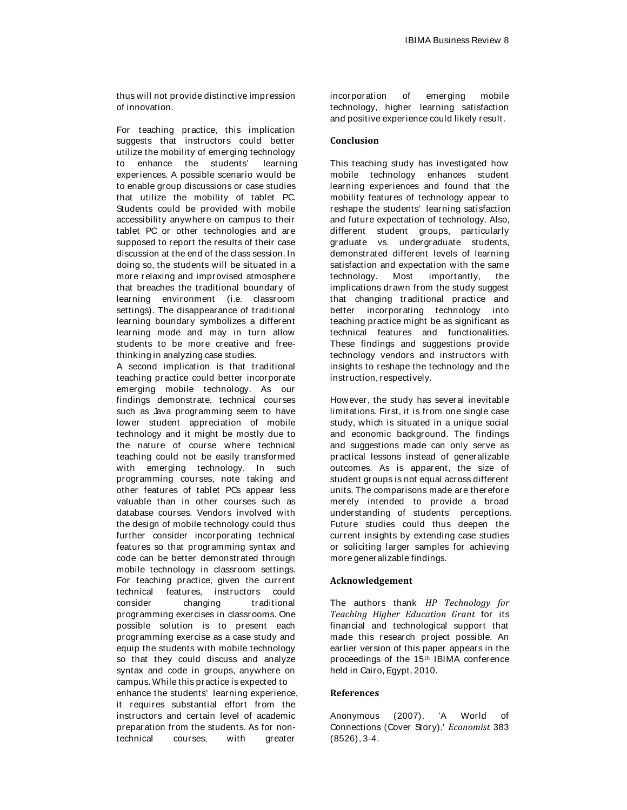thus will not provide distinctive impression of innovation.

For teaching practice, this implication suggests that instructors could better utilize the mobility of emerging technology to enhance the students' learning experiences. A possible scenario would be to enable group discussions or case studies that utilize the mobility of tablet PC. Students could be provided with mobile accessibility anywhere on campus to their tablet PC or other technologies and are supposed to report the results of their case discussion at the end of the class session. In doing so, the students will be situated in a more relaxing and improvised atmosphere that breaches the traditional boundary of learning environment (i.e. classroom settings). The disappearance of traditional learning boundary symbolizes a different learning mode and may in turn allow students to be more creative and freethinking in analyzing case studies.

A second implication is that traditional teaching practice could better incorporate emerging mobile technology. As our findings demonstrate, technical courses such as Java programming seem to have lower student appreciation of mobile technology and it might be mostly due to the nature of course where technical teaching could not be easily transformed with emerging technology. In such programming courses, note taking and other features of tablet PCs appear less valuable than in other courses such as database courses. Vendors involved with the design of mobile technology could thus further consider incorporating technical features so that programming syntax and code can be better demonstrated through mobile technology in classroom settings. For teaching practice, given the current technical features, instructors could consider changing traditional programming exercises in classrooms. One possible solution is to present each programming exercise as a case study and equip the students with mobile technology so that they could discuss and analyze syntax and code in groups, anywhere on campus. While this practice is expected to enhance the students' learning experience, it requires substantial effort from the instructors and certain level of academic

preparation from the students. As for nontechnical courses, with greater

incorporation of emerging mobile technology, higher learning satisfaction and positive experience could likely result.

# **Conclusion**

This teaching study has investigated how mobile technology enhances student learning experiences and found that the mobility features of technology appear to reshape the students' learning satisfaction and future expectation of technology. Also, different student groups, particularly graduate vs. undergraduate students, demonstrated different levels of learning satisfaction and expectation with the same technology. Most importantly, the implications drawn from the study suggest that changing traditional practice and better incorporating technology into teaching practice might be as significant as technical features and functionalities. These findings and suggestions provide technology vendors and instructors with insights to reshape the technology and the instruction, respectively.

However, the study has several inevitable limitations. First, it is from one single case study, which is situated in a unique social and economic background. The findings and suggestions made can only serve as practical lessons instead of generalizable outcomes. As is apparent, the size of student groups is not equal across different units. The comparisons made are therefore merely intended to provide a broad understanding of students' perceptions. Future studies could thus deepen the current insights by extending case studies or soliciting larger samples for achieving more generalizable findings.

#### **Acknowledgement**

The authors thank *HP Technology for Teaching Higher Education Grant* for its financial and technological support that made this research project possible. An earlier version of this paper appears in the proceedings of the 15th IBIMA conference held in Cairo, Egypt, 2010.

#### **References**

Anonymous (2007). 'A World of Connections (Cover Story),' *Economist* 383 (8526), 3-4.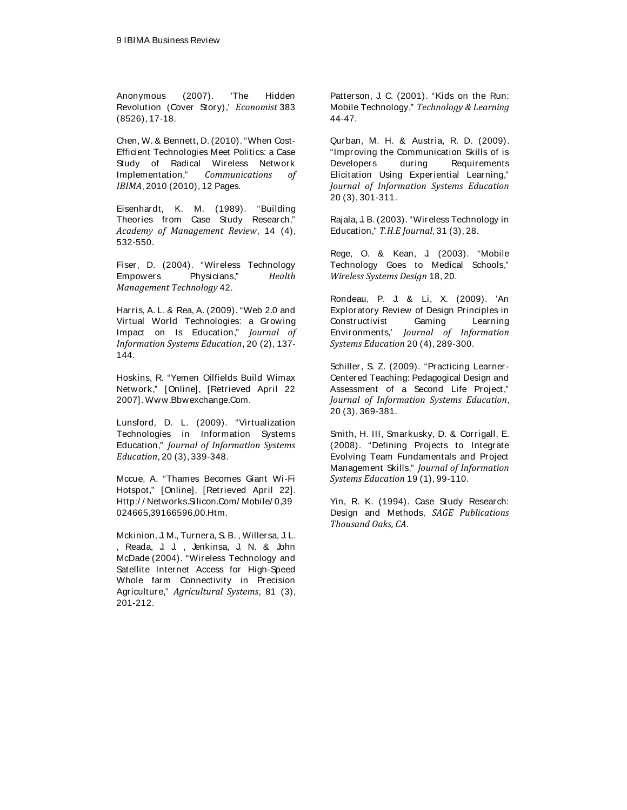Anonymous (2007). 'The Hidden Revolution (Cover Story),' *Economist* 383 (8526), 17-18.

Chen, W. & Bennett, D. (2010). "When Cost-Efficient Technologies Meet Politics: a Case Study of Radical Wireless Network Implementation," *Communications of IBIMA*, 2010 (2010), 12 Pages.

Eisenhardt, K. M. (1989). "Building Theories from Case Study Research," *Academy of Management Review*, 14 (4), 532-550.

Fiser, D. (2004). "Wireless Technology Empowers Physicians," *Health Management Technology* 42.

Harris, A. L. & Rea, A. (2009). "Web 2.0 and Virtual World Technologies: a Growing Impact on Is Education," *Journal of Information Systems Education*, 20 (2), 137- 144.

Hoskins, R. "Yemen Oilfields Build Wimax Network," [Online], [Retrieved April 22 2007]. Www.Bbwexchange.Com.

Lunsford, D. L. (2009). "Virtualization Technologies in Information Systems Education," *Journal of Information Systems Education*, 20 (3), 339-348.

Mccue, A. "Thames Becomes Giant Wi-Fi Hotspot," [Online], [Retrieved April 22]. [Http:/ / Networks.Silicon.Com/ Mobile/ 0,](Http://Networks.Silicon.Com/Mobile/0)39 024665,39166596,00.Htm.

Mckinion, J. M., Turnera, S. B. , Willersa, J. L. , Reada, J. J. , Jenkinsa, J. N. & John McDade (2004). "Wireless Technology and Satellite Internet Access for High-Speed Whole farm Connectivity in Precision Agriculture," *Agricultural Systems*, 81 (3), 201-212.

Patterson, J. C. (2001). "Kids on the Run: Mobile Technology," *Technology & Learning* 44-47.

Qurban, M. H. & Austria, R. D. (2009). "Improving the Communication Skills of is Developers during Requirements Elicitation Using Experiential Learning," *Journal of Information Systems Education* 20 (3), 301-311.

Rajala, J. B. (2003). "Wireless Technology in Education," *T.H.E Journal*, 31 (3), 28.

Rege, O. & Kean, J. (2003). "Mobile Technology Goes to Medical Schools," *Wireless Systems Design* 18, 20.

Rondeau, P. J. & Li, X. (2009). 'An Exploratory Review of Design Principles in Constructivist Gaming Learning Environments,' *Journal of Information Systems Education* 20 (4), 289-300.

Schiller, S. Z. (2009). "Practicing Learner-Centered Teaching: Pedagogical Design and Assessment of a Second Life Project," *Journal of Information Systems Education*, 20 (3), 369-381.

Smith, H. III, Smarkusky, D. & Corrigall, E. (2008). "Defining Projects to Integrate Evolving Team Fundamentals and Project Management Skills," *Journal of Information Systems Education* 19 (1), 99-110.

Yin, R. K. (1994). Case Study Research: Design and Methods, *SAGE Publications Thousand Oaks, CA*.